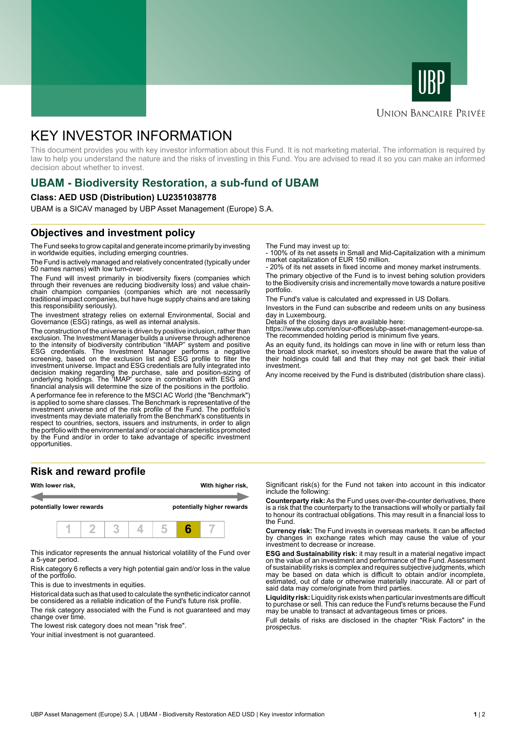



## **UNION BANCAIRE PRIVÉE**

# KEY INVESTOR INFORMATION

This document provides you with key investor information about this Fund. It is not marketing material. The information is required by law to help you understand the nature and the risks of investing in this Fund. You are advised to read it so you can make an informed decision about whether to invest.

# **UBAM - Biodiversity Restoration, a sub-fund of UBAM**

#### **Class: AED USD (Distribution) LU2351038778**

UBAM is a SICAV managed by UBP Asset Management (Europe) S.A.

# **Objectives and investment policy**

The Fund seeks to grow capital and generate income primarily by investing in worldwide equities, including emerging countries.

The Fund is actively managed and relatively concentrated (typically under 50 names names) with low turn-over.

The Fund will invest primarily in biodiversity fixers (companies which through their revenues are reducing biodiversity loss) and value chainchain champion companies (companies which are not necessarily traditional impact companies, but have huge supply chains and are taking this responsibility seriously).

The investment strategy relies on external Environmental, Social and Governance (ESG) ratings, as well as internal analysis.

The construction of the universe is driven by positive inclusion, rather than exclusion. The Investment Manager builds a universe through adherence to the intensity of biodiversity contribution "IMAP" system and positive ESG credentials. The Investment Manager performs a negative screening, based on the exclusion list and ESG profile to filter the investment universe. Impact and ESG credentials are fully integrated into decision making regarding the purchase, sale and position-sizing of underlying holdings. The 'IMAP' score in combination with ESG and financial analysis will determine the size of the positions in the portfolio.

A performance fee in reference to the MSCI AC World (the "Benchmark") is applied to some share classes. The Benchmark is representative of the investment universe and of the risk profile of the Fund. The portfolio's investments may deviate materially from the Benchmark's constituents in respect to countries, sectors, issuers and instruments, in order to align the portfolio with the environmental and/ or social characteristics promoted by the Fund and/or in order to take advantage of specific investment opportunities.

### **Risk and reward profile**



This indicator represents the annual historical volatility of the Fund over a 5-year period.

Risk category 6 reflects a very high potential gain and/or loss in the value of the portfolio.

This is due to investments in equities.

Historical data such as that used to calculate the synthetic indicator cannot be considered as a reliable indication of the Fund's future risk profile.

The risk category associated with the Fund is not guaranteed and may change over time.

The lowest risk category does not mean "risk free".

Your initial investment is not guaranteed.

The Fund may invest up to:

- 100% of its net assets in Small and Mid-Capitalization with a minimum market capitalization of EUR 150 million.

20% of its net assets in fixed income and money market instruments.

The primary objective of the Fund is to invest behing solution providers to the Biodiversity crisis and incrementally move towards a nature positive portfolio.

The Fund's value is calculated and expressed in US Dollars.

Investors in the Fund can subscribe and redeem units on any business day in Luxembourg.

Details of the closing days are available here:

https://www.ubp.com/en/our-offices/ubp-asset-management-europe-sa. The recommended holding period is minimum five years.

As an equity fund, its holdings can move in line with or return less than the broad stock market, so investors should be aware that the value of their holdings could fall and that they may not get back their initial investment.

Any income received by the Fund is distributed (distribution share class).

Significant risk(s) for the Fund not taken into account in this indicator include the following:

**Counterparty risk:** As the Fund uses over-the-counter derivatives, there is a risk that the counterparty to the transactions will wholly or partially fail to honour its contractual obligations. This may result in a financial loss to the Fund.

**Currency risk:** The Fund invests in overseas markets. It can be affected by changes in exchange rates which may cause the value of your investment to decrease or increase.

**ESG and Sustainability risk:** it may result in a material negative impact on the value of an investment and performance of the Fund. Assessment of sustainability risks is complex and requires subjective judgments, which may be based on data which is difficult to obtain and/or incomplete, estimated, out of date or otherwise materially inaccurate. All or part of said data may come/originate from third parties.

**Liquidity risk:** Liquidity risk exists when particular investments are difficult to purchase or sell. This can reduce the Fund's returns because the Fund may be unable to transact at advantageous times or prices.

Full details of risks are disclosed in the chapter "Risk Factors" in the prospectus.